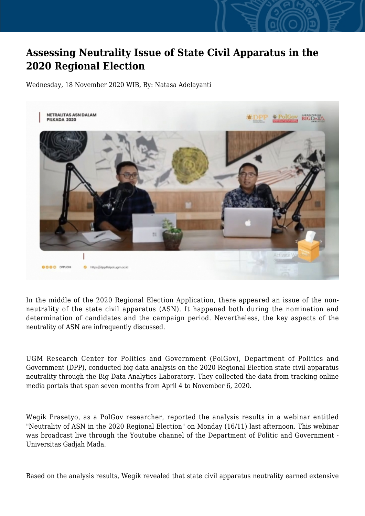## **Assessing Neutrality Issue of State Civil Apparatus in the 2020 Regional Election**

Wednesday, 18 November 2020 WIB, By: Natasa Adelayanti



In the middle of the 2020 Regional Election Application, there appeared an issue of the nonneutrality of the state civil apparatus (ASN). It happened both during the nomination and determination of candidates and the campaign period. Nevertheless, the key aspects of the neutrality of ASN are infrequently discussed.

UGM Research Center for Politics and Government (PolGov), Department of Politics and Government (DPP), conducted big data analysis on the 2020 Regional Election state civil apparatus neutrality through the Big Data Analytics Laboratory. They collected the data from tracking online media portals that span seven months from April 4 to November 6, 2020.

Wegik Prasetyo, as a PolGov researcher, reported the analysis results in a webinar entitled "Neutrality of ASN in the 2020 Regional Election" on Monday (16/11) last afternoon. This webinar was broadcast live through the Youtube channel of the Department of Politic and Government -Universitas Gadjah Mada.

Based on the analysis results, Wegik revealed that state civil apparatus neutrality earned extensive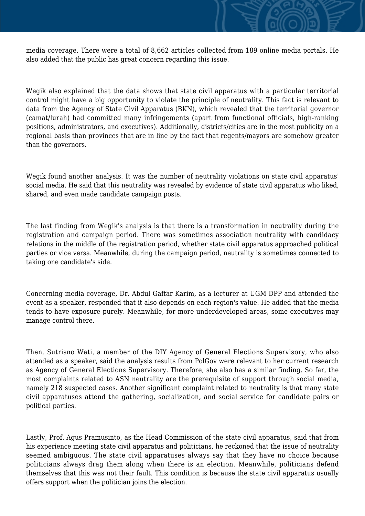media coverage. There were a total of 8,662 articles collected from 189 online media portals. He also added that the public has great concern regarding this issue.

Wegik also explained that the data shows that state civil apparatus with a particular territorial control might have a big opportunity to violate the principle of neutrality. This fact is relevant to data from the Agency of State Civil Apparatus (BKN), which revealed that the territorial governor (camat/lurah) had committed many infringements (apart from functional officials, high-ranking positions, administrators, and executives). Additionally, districts/cities are in the most publicity on a regional basis than provinces that are in line by the fact that regents/mayors are somehow greater than the governors.

Wegik found another analysis. It was the number of neutrality violations on state civil apparatus' social media. He said that this neutrality was revealed by evidence of state civil apparatus who liked, shared, and even made candidate campaign posts.

The last finding from Wegik's analysis is that there is a transformation in neutrality during the registration and campaign period. There was sometimes association neutrality with candidacy relations in the middle of the registration period, whether state civil apparatus approached political parties or vice versa. Meanwhile, during the campaign period, neutrality is sometimes connected to taking one candidate's side.

Concerning media coverage, Dr. Abdul Gaffar Karim, as a lecturer at UGM DPP and attended the event as a speaker, responded that it also depends on each region's value. He added that the media tends to have exposure purely. Meanwhile, for more underdeveloped areas, some executives may manage control there.

Then, Sutrisno Wati, a member of the DIY Agency of General Elections Supervisory, who also attended as a speaker, said the analysis results from PolGov were relevant to her current research as Agency of General Elections Supervisory. Therefore, she also has a similar finding. So far, the most complaints related to ASN neutrality are the prerequisite of support through social media, namely 218 suspected cases. Another significant complaint related to neutrality is that many state civil apparatuses attend the gathering, socialization, and social service for candidate pairs or political parties.

Lastly, Prof. Agus Pramusinto, as the Head Commission of the state civil apparatus, said that from his experience meeting state civil apparatus and politicians, he reckoned that the issue of neutrality seemed ambiguous. The state civil apparatuses always say that they have no choice because politicians always drag them along when there is an election. Meanwhile, politicians defend themselves that this was not their fault. This condition is because the state civil apparatus usually offers support when the politician joins the election.